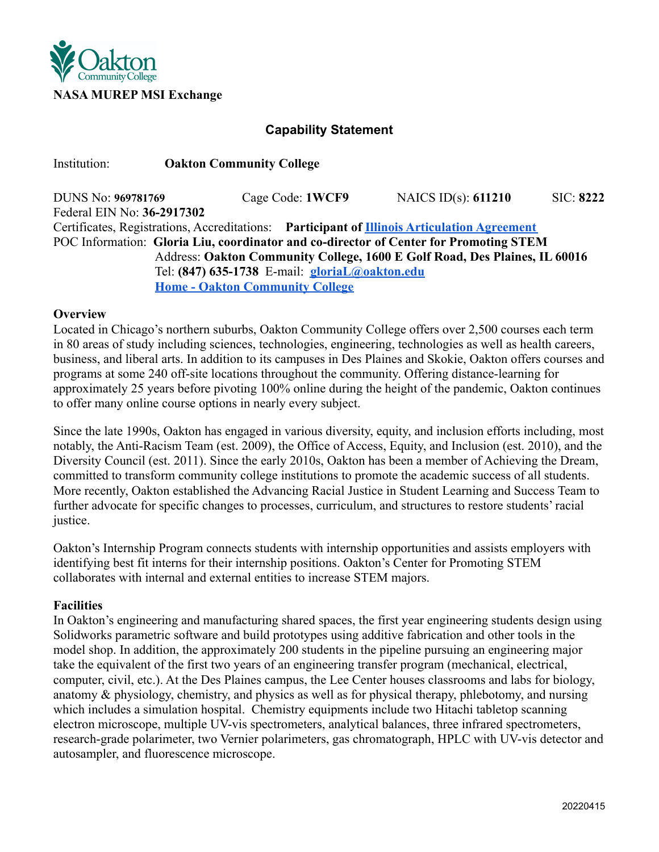

# **Capability Statement**

Institution: **Oakton Community College**

DUNS No: **969781769** Cage Code: **1WCF9** NAICS ID(s): **611210** SIC: **8222** Federal EIN No: **36-2917302** Certificates, Registrations, Accreditations: **Participant of [Illinois Articulation Agreement](https://illinoisstate.edu/catalog/undergraduate/general-education/illinois-articulation-initiative/)** POC Information: **Gloria Liu, coordinator and co-director of Center for Promoting STEM** Address: **Oakton Community College, 1600 E Golf Road, Des Plaines, IL 60016** Tel: **(847) 635-1738** E-mail: **[gloriaL@oakton.edu](mailto:gloriaL@oakton.edu) [Home - Oakton Community College](https://www.oakton.edu/)**

### **Overview**

Located in Chicago's northern suburbs, Oakton Community College offers over 2,500 courses each term in 80 areas of study including sciences, technologies, engineering, technologies as well as health careers, business, and liberal arts. In addition to its campuses in Des Plaines and Skokie, Oakton offers courses and programs at some 240 off-site locations throughout the community. Offering distance-learning for approximately 25 years before pivoting 100% online during the height of the pandemic, Oakton continues to offer many online course options in nearly every subject.

Since the late 1990s, Oakton has engaged in various diversity, equity, and inclusion efforts including, most notably, the Anti-Racism Team (est. 2009), the Office of Access, Equity, and Inclusion (est. 2010), and the Diversity Council (est. 2011). Since the early 2010s, Oakton has been a member of Achieving the Dream, committed to transform community college institutions to promote the academic success of all students. More recently, Oakton established the Advancing Racial Justice in Student Learning and Success Team to further advocate for specific changes to processes, curriculum, and structures to restore students' racial justice.

Oakton's Internship Program connects students with internship opportunities and assists employers with identifying best fit interns for their internship positions. Oakton's Center for Promoting STEM collaborates with internal and external entities to increase STEM majors.

## **Facilities**

In Oakton's engineering and manufacturing shared spaces, the first year engineering students design using Solidworks parametric software and build prototypes using additive fabrication and other tools in the model shop. In addition, the approximately 200 students in the pipeline pursuing an engineering major take the equivalent of the first two years of an engineering transfer program (mechanical, electrical, computer, civil, etc.). At the Des Plaines campus, the Lee Center houses classrooms and labs for biology, anatomy & physiology, chemistry, and physics as well as for physical therapy, phlebotomy, and nursing which includes a simulation hospital. Chemistry equipments include two Hitachi tabletop scanning electron microscope, multiple UV-vis spectrometers, analytical balances, three infrared spectrometers, research-grade polarimeter, two Vernier polarimeters, gas chromatograph, HPLC with UV-vis detector and autosampler, and fluorescence microscope.